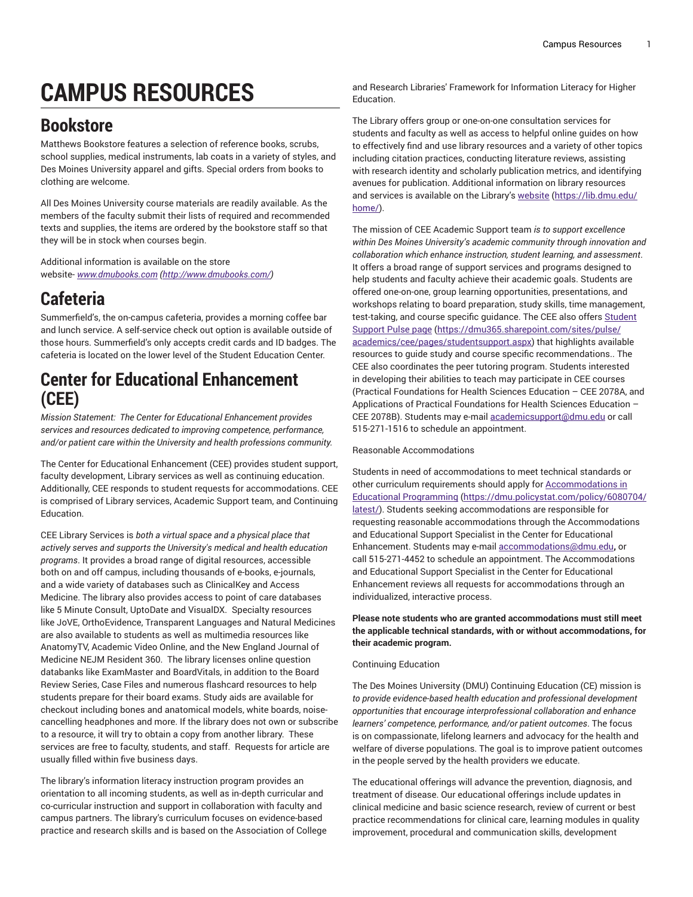# **CAMPUS RESOURCES**

## **Bookstore**

Matthews Bookstore features a selection of reference books, scrubs, school supplies, medical instruments, lab coats in a variety of styles, and Des Moines University apparel and gifts. Special orders from books to clothing are welcome.

All Des Moines University course materials are readily available. As the members of the faculty submit their lists of required and recommended texts and supplies, the items are ordered by the bookstore staff so that they will be in stock when courses begin.

Additional information is available on the store website- *[www.dmubooks.com](http://www.dmubooks.com/) (<http://www.dmubooks.com/>)*

### **Cafeteria**

Summerfield's, the on-campus cafeteria, provides a morning coffee bar and lunch service. A self-service check out option is available outside of those hours. Summerfield's only accepts credit cards and ID badges. The cafeteria is located on the lower level of the Student Education Center.

#### **Center for Educational Enhancement (CEE)**

*Mission Statement: The Center for Educational Enhancement provides services and resources dedicated to improving competence, performance, and/or patient care within the University and health professions community.*

The Center for Educational Enhancement (CEE) provides student support, faculty development, Library services as well as continuing education. Additionally, CEE responds to student requests for accommodations. CEE is comprised of Library services, Academic Support team, and Continuing Education.

CEE Library Services is *both a virtual space and a physical place that actively serves and supports the University's medical and health education programs*. It provides a broad range of digital resources, accessible both on and off campus, including thousands of e-books, e-journals, and a wide variety of databases such as ClinicalKey and Access Medicine. The library also provides access to point of care databases like 5 Minute Consult, UptoDate and VisualDX. Specialty resources like JoVE, OrthoEvidence, Transparent Languages and Natural Medicines are also available to students as well as multimedia resources like AnatomyTV, Academic Video Online, and the New England Journal of Medicine NEJM Resident 360. The library licenses online question databanks like ExamMaster and BoardVitals, in addition to the Board Review Series, Case Files and numerous flashcard resources to help students prepare for their board exams. Study aids are available for checkout including bones and anatomical models, white boards, noisecancelling headphones and more. If the library does not own or subscribe to a resource, it will try to obtain a copy from another library. These services are free to faculty, students, and staff. Requests for article are usually filled within five business days.

The library's information literacy instruction program provides an orientation to all incoming students, as well as in-depth curricular and co-curricular instruction and support in collaboration with faculty and campus partners. The library's curriculum focuses on evidence-based practice and research skills and is based on the Association of College and Research Libraries' Framework for Information Literacy for Higher Education.

The Library offers group or one-on-one consultation services for students and faculty as well as access to helpful online guides on how to effectively find and use library resources and a variety of other topics including citation practices, conducting literature reviews, assisting with research identity and scholarly publication metrics, and identifying avenues for publication. Additional information on library resources and services is available on the Library's [website \(https://lib.dmu.edu/](https://lib.dmu.edu/home/) [home/](https://lib.dmu.edu/home/)).

The mission of CEE Academic Support team *is to support excellence within Des Moines University's academic community through innovation and collaboration which enhance instruction, student learning, and assessment*. It offers a broad range of support services and programs designed to help students and faculty achieve their academic goals. Students are offered one-on-one, group learning opportunities, presentations, and workshops relating to board preparation, study skills, time management, test-taking, and course specific guidance. The CEE also offers [Student](https://dmu365.sharepoint.com/sites/pulse/academics/cee/pages/studentsupport.aspx) [Support](https://dmu365.sharepoint.com/sites/pulse/academics/cee/pages/studentsupport.aspx) Pulse page [\(https://dmu365.sharepoint.com/sites/pulse/](https://dmu365.sharepoint.com/sites/pulse/academics/cee/pages/studentsupport.aspx) [academics/cee/pages/studentsupport.aspx\)](https://dmu365.sharepoint.com/sites/pulse/academics/cee/pages/studentsupport.aspx) that highlights available resources to guide study and course specific recommendations.. The CEE also coordinates the peer tutoring program. Students interested in developing their abilities to teach may participate in CEE courses (Practical Foundations for Health Sciences Education – CEE 2078A, and Applications of Practical Foundations for Health Sciences Education – CEE 2078B). Students may e-mail [academicsupport@dmu.edu](mailto:academicsupport@dmu.edu) or call 515-271-1516 to schedule an appointment.

#### Reasonable Accommodations

Students in need of accommodations to meet technical standards or other curriculum requirements should apply for [Accommodations in](https://dmu.policystat.com/policy/6080704/latest/) Educational [Programming](https://dmu.policystat.com/policy/6080704/latest/) ([https://dmu.policystat.com/policy/6080704/](https://dmu.policystat.com/policy/6080704/latest/) [latest/](https://dmu.policystat.com/policy/6080704/latest/)). Students seeking accommodations are responsible for requesting reasonable accommodations through the Accommodations and Educational Support Specialist in the Center for Educational Enhancement. Students may e-mail [accommodations@dmu.edu](mailto:accommodations@dmu.edu)**,** or call 515-271-4452 to schedule an appointment. The Accommodations and Educational Support Specialist in the Center for Educational Enhancement reviews all requests for accommodations through an individualized, interactive process.

#### **Please note students who are granted accommodations must still meet the applicable technical standards, with or without accommodations, for their academic program.**

#### Continuing Education

The Des Moines University (DMU) Continuing Education (CE) mission is *to provide evidence-based health education and professional development opportunities that encourage interprofessional collaboration and enhance learners' competence, performance, and/or patient outcomes*. The focus is on compassionate, lifelong learners and advocacy for the health and welfare of diverse populations. The goal is to improve patient outcomes in the people served by the health providers we educate.

The educational offerings will advance the prevention, diagnosis, and treatment of disease. Our educational offerings include updates in clinical medicine and basic science research, review of current or best practice recommendations for clinical care, learning modules in quality improvement, procedural and communication skills, development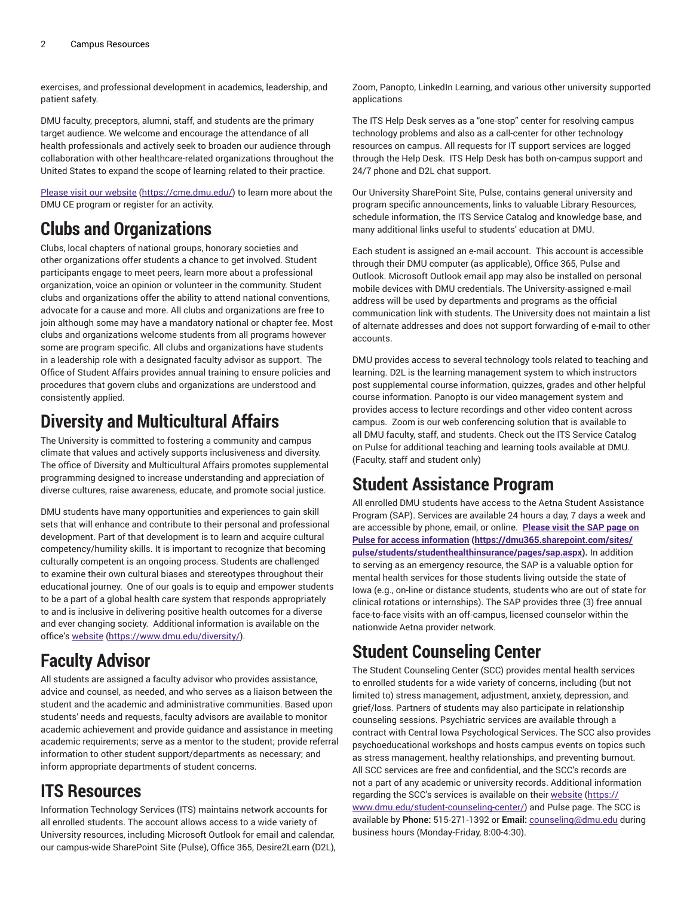exercises, and professional development in academics, leadership, and patient safety.

DMU faculty, preceptors, alumni, staff, and students are the primary target audience. We welcome and encourage the attendance of all health professionals and actively seek to broaden our audience through collaboration with other healthcare-related organizations throughout the United States to expand the scope of learning related to their practice.

[Please visit our website](https://cme.dmu.edu/) (<https://cme.dmu.edu/>) to learn more about the DMU CE program or register for an activity.

# **Clubs and Organizations**

Clubs, local chapters of national groups, honorary societies and other organizations offer students a chance to get involved. Student participants engage to meet peers, learn more about a professional organization, voice an opinion or volunteer in the community. Student clubs and organizations offer the ability to attend national conventions, advocate for a cause and more. All clubs and organizations are free to join although some may have a mandatory national or chapter fee. Most clubs and organizations welcome students from all programs however some are program specific. All clubs and organizations have students in a leadership role with a designated faculty advisor as support. The Office of Student Affairs provides annual training to ensure policies and procedures that govern clubs and organizations are understood and consistently applied.

# **Diversity and Multicultural Affairs**

The University is committed to fostering a community and campus climate that values and actively supports inclusiveness and diversity. The office of Diversity and Multicultural Affairs promotes supplemental programming designed to increase understanding and appreciation of diverse cultures, raise awareness, educate, and promote social justice.

DMU students have many opportunities and experiences to gain skill sets that will enhance and contribute to their personal and professional development. Part of that development is to learn and acquire cultural competency/humility skills. It is important to recognize that becoming culturally competent is an ongoing process. Students are challenged to examine their own cultural biases and stereotypes throughout their educational journey. One of our goals is to equip and empower students to be a part of a global health care system that responds appropriately to and is inclusive in delivering positive health outcomes for a diverse and ever changing society. Additional information is available on the office's [website \(https://www.dmu.edu/diversity/](https://www.dmu.edu/diversity/)).

# **Faculty Advisor**

All students are assigned a faculty advisor who provides assistance, advice and counsel, as needed, and who serves as a liaison between the student and the academic and administrative communities. Based upon students' needs and requests, faculty advisors are available to monitor academic achievement and provide guidance and assistance in meeting academic requirements; serve as a mentor to the student; provide referral information to other student support/departments as necessary; and inform appropriate departments of student concerns.

### **ITS Resources**

Information Technology Services (ITS) maintains network accounts for all enrolled students. The account allows access to a wide variety of University resources, including Microsoft Outlook for email and calendar, our campus-wide SharePoint Site (Pulse), Office 365, Desire2Learn (D2L), Zoom, Panopto, LinkedIn Learning, and various other university supported applications

The ITS Help Desk serves as a "one-stop" center for resolving campus technology problems and also as a call-center for other technology resources on campus. All requests for IT support services are logged through the Help Desk. ITS Help Desk has both on-campus support and 24/7 phone and D2L chat support.

Our University SharePoint Site, Pulse, contains general university and program specific announcements, links to valuable Library Resources, schedule information, the ITS Service Catalog and knowledge base, and many additional links useful to students' education at DMU.

Each student is assigned an e-mail account. This account is accessible through their DMU computer (as applicable), Office 365, Pulse and Outlook. Microsoft Outlook email app may also be installed on personal mobile devices with DMU credentials. The University-assigned e-mail address will be used by departments and programs as the official communication link with students. The University does not maintain a list of alternate addresses and does not support forwarding of e-mail to other accounts.

DMU provides access to several technology tools related to teaching and learning. D2L is the learning management system to which instructors post supplemental course information, quizzes, grades and other helpful course information. Panopto is our video management system and provides access to lecture recordings and other video content across campus. Zoom is our web conferencing solution that is available to all DMU faculty, staff, and students. Check out the ITS Service Catalog on Pulse for additional teaching and learning tools available at DMU. (Faculty, staff and student only)

# **Student Assistance Program**

All enrolled DMU students have access to the Aetna Student Assistance Program (SAP). Services are available 24 hours a day, 7 days a week and are accessible by phone, email, or online. **[Please visit the SAP page on](https://dmu365.sharepoint.com/sites/pulse/students/studenthealthinsurance/pages/sap.aspx) [Pulse for access information](https://dmu365.sharepoint.com/sites/pulse/students/studenthealthinsurance/pages/sap.aspx) ([https://dmu365.sharepoint.com/sites/](https://dmu365.sharepoint.com/sites/pulse/students/studenthealthinsurance/pages/sap.aspx) [pulse/students/studenthealthinsurance/pages/sap.aspx](https://dmu365.sharepoint.com/sites/pulse/students/studenthealthinsurance/pages/sap.aspx)).** In addition to serving as an emergency resource, the SAP is a valuable option for mental health services for those students living outside the state of Iowa (e.g., on-line or distance students, students who are out of state for clinical rotations or internships). The SAP provides three (3) free annual face-to-face visits with an off-campus, licensed counselor within the nationwide Aetna provider network.

# **Student Counseling Center**

The Student Counseling Center (SCC) provides mental health services to enrolled students for a wide variety of concerns, including (but not limited to) stress management, adjustment, anxiety, depression, and grief/loss. Partners of students may also participate in relationship counseling sessions. Psychiatric services are available through a contract with Central Iowa Psychological Services. The SCC also provides psychoeducational workshops and hosts campus events on topics such as stress management, healthy relationships, and preventing burnout. All SCC services are free and confidential, and the SCC's records are not a part of any academic or university records. Additional information regarding the SCC's services is available on their [website \(https://](https://www.dmu.edu/student-counseling-center/) [www.dmu.edu/student-counseling-center/](https://www.dmu.edu/student-counseling-center/)) and Pulse page. The SCC is available by **Phone:** 515-271-1392 or **Email:** [counseling@dmu.edu](mailto:counseling@dmu.edu) during business hours (Monday-Friday, 8:00-4:30).